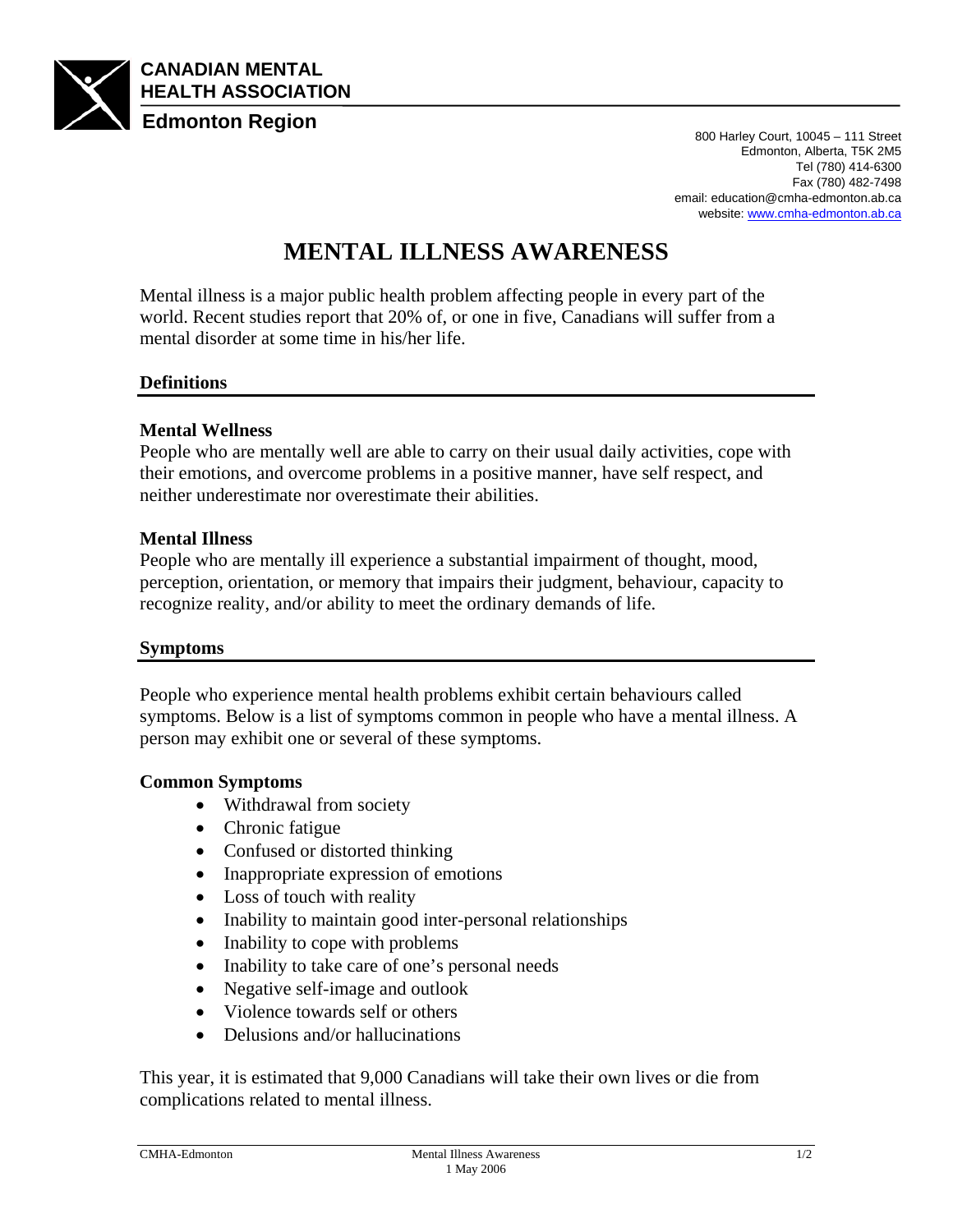

Edmonton, Alberta, T5K 2M5 Tel (780) 414-6300 Fax (780) 482-7498 email: education@cmha-edmonton.ab.ca website: www.cmha-edmonton.ab.ca

# **MENTAL ILLNESS AWARENESS**

Mental illness is a major public health problem affecting people in every part of the world. Recent studies report that 20% of, or one in five, Canadians will suffer from a mental disorder at some time in his/her life.

## **Definitions**

## **Mental Wellness**

People who are mentally well are able to carry on their usual daily activities, cope with their emotions, and overcome problems in a positive manner, have self respect, and neither underestimate nor overestimate their abilities.

### **Mental Illness**

People who are mentally ill experience a substantial impairment of thought, mood, perception, orientation, or memory that impairs their judgment, behaviour, capacity to recognize reality, and/or ability to meet the ordinary demands of life.

#### **Symptoms**

People who experience mental health problems exhibit certain behaviours called symptoms. Below is a list of symptoms common in people who have a mental illness. A person may exhibit one or several of these symptoms.

## **Common Symptoms**

- Withdrawal from society
- Chronic fatigue
- Confused or distorted thinking
- Inappropriate expression of emotions
- Loss of touch with reality
- Inability to maintain good inter-personal relationships
- Inability to cope with problems
- Inability to take care of one's personal needs
- Negative self-image and outlook
- Violence towards self or others
- Delusions and/or hallucinations

This year, it is estimated that 9,000 Canadians will take their own lives or die from complications related to mental illness.